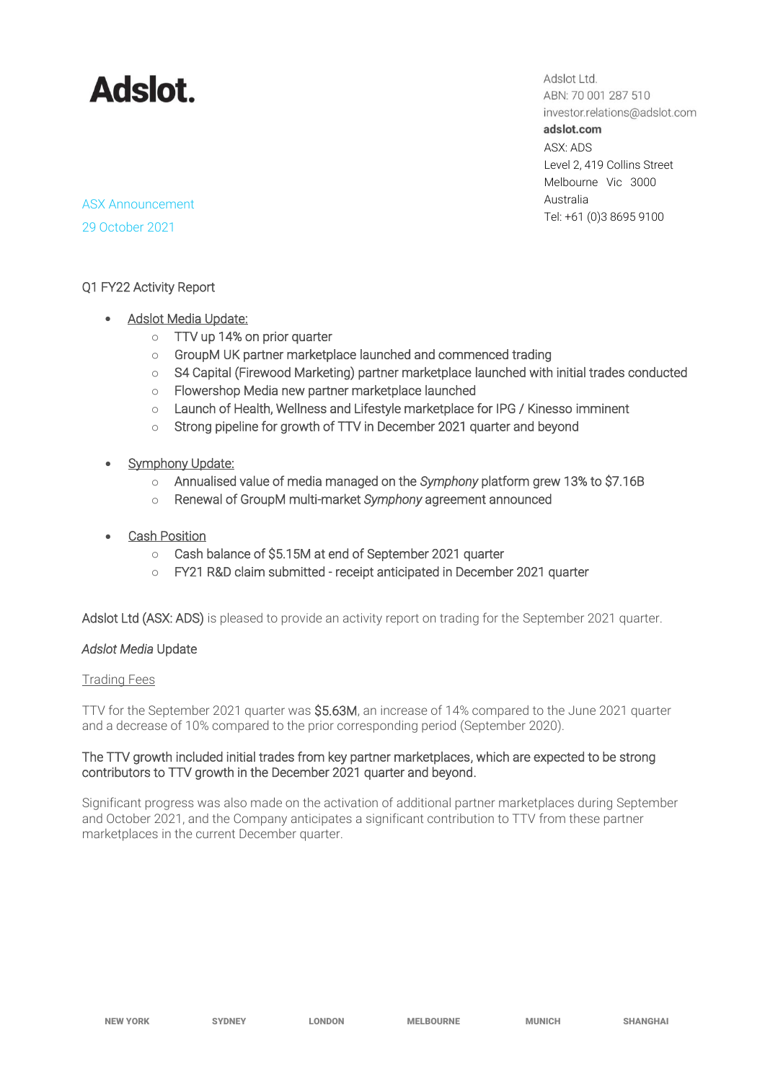

Adslot Ltd. ABN: 70 001 287 510 investor.relations@adslot.com adslot.com ASX: ADS Level 2, 419 Collins Street Melbourne Vic 3000 Australia Tel: +61 (0)3 8695 9100

ASX Announcement 29 October 2021

### Q1 FY22 Activity Report

- Adslot Media Update:
	- o TTV up 14% on prior quarter
	- o GroupM UK partner marketplace launched and commenced trading
	- o S4 Capital (Firewood Marketing) partner marketplace launched with initial trades conducted
	- o Flowershop Media new partner marketplace launched
	- o Launch of Health, Wellness and Lifestyle marketplace for IPG / Kinesso imminent
	- o Strong pipeline for growth of TTV in December 2021 quarter and beyond
- Symphony Update:
	- o Annualised value of media managed on the *Symphony* platform grew 13% to \$7.16B
	- o Renewal of GroupM multi-market *Symphony* agreement announced
- **Cash Position** 
	- o Cash balance of \$5.15M at end of September 2021 quarter
	- o FY21 R&D claim submitted receipt anticipated in December 2021 quarter

Adslot Ltd (ASX: ADS) is pleased to provide an activity report on trading for the September 2021 quarter.

### *Adslot Media* Update

### Trading Fees

TTV for the September 2021 quarter was \$5.63M, an increase of 14% compared to the June 2021 quarter and a decrease of 10% compared to the prior corresponding period (September 2020).

### The TTV growth included initial trades from key partner marketplaces, which are expected to be strong contributors to TTV growth in the December 2021 quarter and beyond.

Significant progress was also made on the activation of additional partner marketplaces during September and October 2021, and the Company anticipates a significant contribution to TTV from these partner marketplaces in the current December quarter.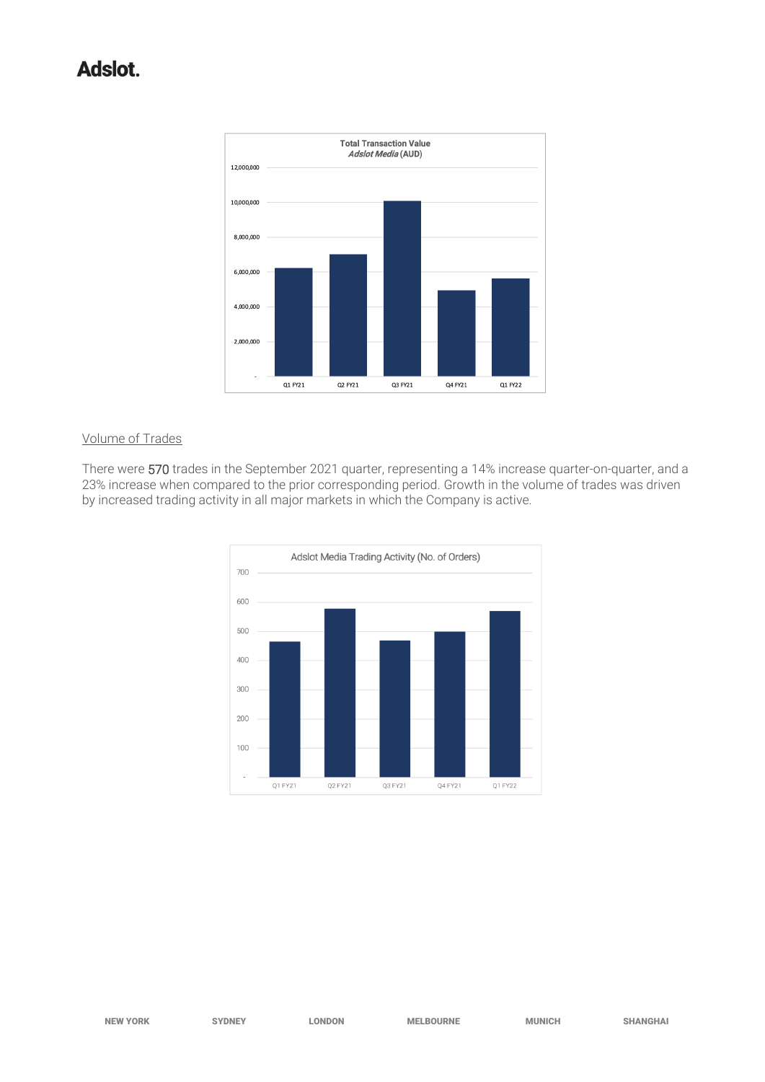# Adslot.



## Volume of Trades

There were 570 trades in the September 2021 quarter, representing a 14% increase quarter-on-quarter, and a 23% increase when compared to the prior corresponding period. Growth in the volume of trades was driven by increased trading activity in all major markets in which the Company is active.

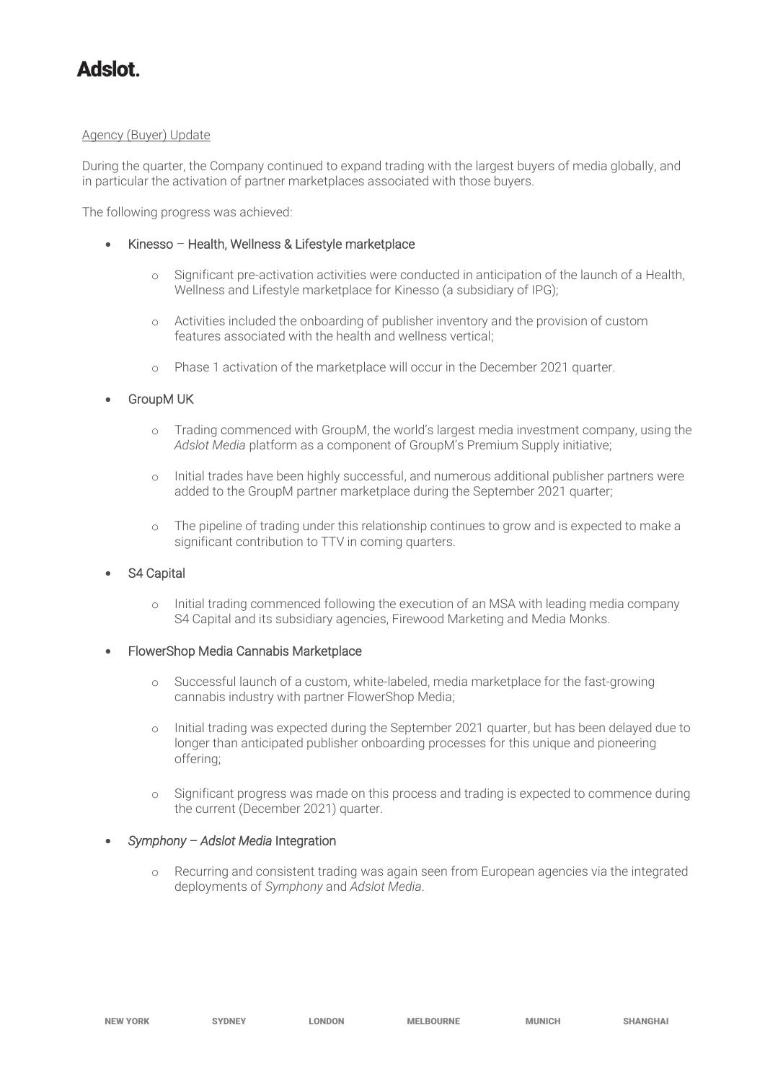## Agency (Buyer) Update

During the quarter, the Company continued to expand trading with the largest buyers of media globally, and in particular the activation of partner marketplaces associated with those buyers.

The following progress was achieved:

- Kinesso Health, Wellness & Lifestyle marketplace
	- o Significant pre-activation activities were conducted in anticipation of the launch of a Health, Wellness and Lifestyle marketplace for Kinesso (a subsidiary of IPG);
	- o Activities included the onboarding of publisher inventory and the provision of custom features associated with the health and wellness vertical;
	- o Phase 1 activation of the marketplace will occur in the December 2021 quarter.

### **GroupM UK**

- o Trading commenced with GroupM, the world's largest media investment company, using the *Adslot Media* platform as a component of GroupM's Premium Supply initiative;
- o Initial trades have been highly successful, and numerous additional publisher partners were added to the GroupM partner marketplace during the September 2021 quarter;
- o The pipeline of trading under this relationship continues to grow and is expected to make a significant contribution to TTV in coming quarters.

# S4 Capital

o Initial trading commenced following the execution of an MSA with leading media company S4 Capital and its subsidiary agencies, Firewood Marketing and Media Monks.

### • FlowerShop Media Cannabis Marketplace

- o Successful launch of a custom, white-labeled, media marketplace for the fast-growing cannabis industry with partner FlowerShop Media;
- Initial trading was expected during the September 2021 quarter, but has been delayed due to longer than anticipated publisher onboarding processes for this unique and pioneering offering;
- o Significant progress was made on this process and trading is expected to commence during the current (December 2021) quarter.

### • *Symphony – Adslot Media* Integration

o Recurring and consistent trading was again seen from European agencies via the integrated deployments of *Symphony* and *Adslot Media*.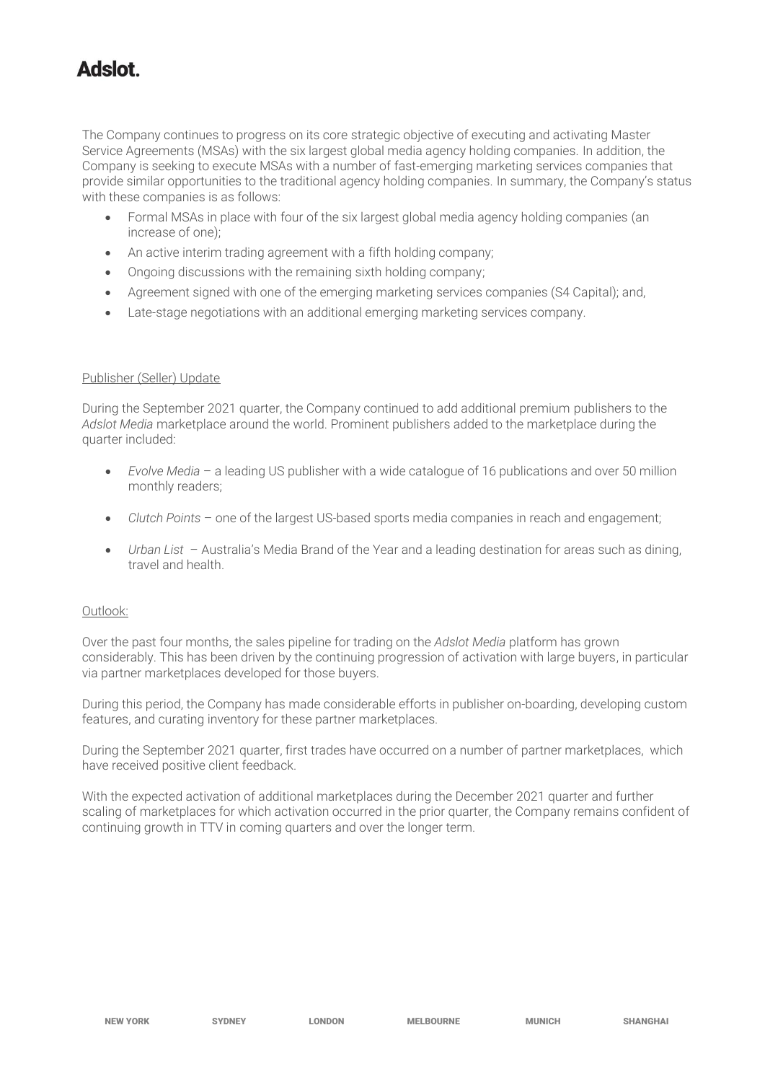The Company continues to progress on its core strategic objective of executing and activating Master Service Agreements (MSAs) with the six largest global media agency holding companies. In addition, the Company is seeking to execute MSAs with a number of fast-emerging marketing services companies that provide similar opportunities to the traditional agency holding companies. In summary, the Company's status with these companies is as follows:

- Formal MSAs in place with four of the six largest global media agency holding companies (an increase of one);
- An active interim trading agreement with a fifth holding company;
- Ongoing discussions with the remaining sixth holding company;
- Agreement signed with one of the emerging marketing services companies (S4 Capital); and,
- Late-stage negotiations with an additional emerging marketing services company.

## Publisher (Seller) Update

During the September 2021 quarter, the Company continued to add additional premium publishers to the *Adslot Media* marketplace around the world. Prominent publishers added to the marketplace during the quarter included:

- *Evolve Media*  a leading US publisher with a wide catalogue of 16 publications and over 50 million monthly readers;
- *Clutch Points* one of the largest US-based sports media companies in reach and engagement;
- *Urban List* Australia's Media Brand of the Year and a leading destination for areas such as dining, travel and health.

### Outlook:

Over the past four months, the sales pipeline for trading on the *Adslot Media* platform has grown considerably. This has been driven by the continuing progression of activation with large buyers, in particular via partner marketplaces developed for those buyers.

During this period, the Company has made considerable efforts in publisher on-boarding, developing custom features, and curating inventory for these partner marketplaces.

During the September 2021 quarter, first trades have occurred on a number of partner marketplaces, which have received positive client feedback.

With the expected activation of additional marketplaces during the December 2021 quarter and further scaling of marketplaces for which activation occurred in the prior quarter, the Company remains confident of continuing growth in TTV in coming quarters and over the longer term.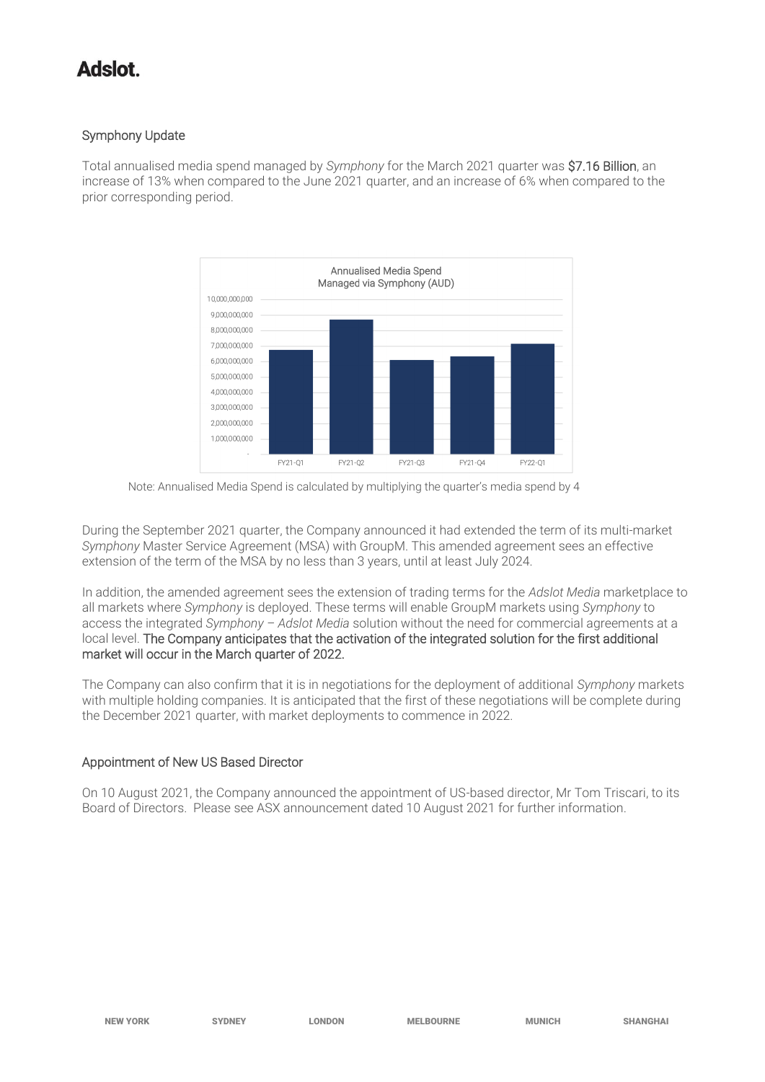# Symphony Update

Total annualised media spend managed by *Symphony* for the March 2021 quarter was \$7.16 Billion, an increase of 13% when compared to the June 2021 quarter, and an increase of 6% when compared to the prior corresponding period.





During the September 2021 quarter, the Company announced it had extended the term of its multi-market *Symphony* Master Service Agreement (MSA) with GroupM. This amended agreement sees an effective extension of the term of the MSA by no less than 3 years, until at least July 2024.

In addition, the amended agreement sees the extension of trading terms for the *Adslot Media* marketplace to all markets where *Symphony* is deployed. These terms will enable GroupM markets using *Symphony* to access the integrated *Symphony – Adslot Media* solution without the need for commercial agreements at a local level. The Company anticipates that the activation of the integrated solution for the first additional market will occur in the March quarter of 2022.

The Company can also confirm that it is in negotiations for the deployment of additional *Symphony* markets with multiple holding companies. It is anticipated that the first of these negotiations will be complete during the December 2021 quarter, with market deployments to commence in 2022.

# Appointment of New US Based Director

On 10 August 2021, the Company announced the appointment of US-based director, Mr Tom Triscari, to its Board of Directors. Please see ASX announcement dated 10 August 2021 for further information.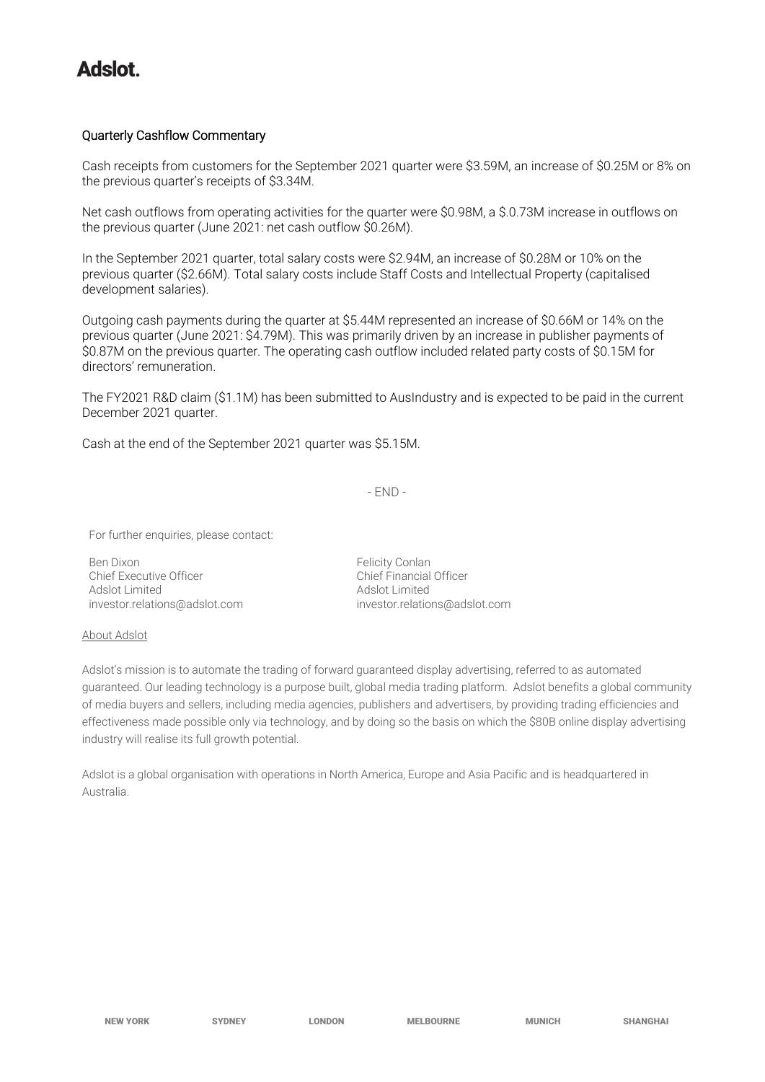## Quarterly Cashflow Commentary

Cash receipts from customers for the September 2021 quarter were \$3.59M, an increase of \$0.25M or 8% on the previous quarter's receipts of \$3.34M.

Net cash outflows from operating activities for the quarter were \$0.98M, a \$.0.73M increase in outflows on the previous quarter (June 2021: net cash outflow \$0.26M).

In the September 2021 quarter, total salary costs were \$2.94M, an increase of \$0.28M or 10% on the previous quarter (\$2.66M). Total salary costs include Staff Costs and Intellectual Property (capitalised development salaries).

Outgoing cash payments during the quarter at \$5.44M represented an increase of \$0.66M or 14% on the previous quarter (June 2021: \$4.79M). This was primarily driven by an increase in publisher payments of \$0.87M on the previous quarter. The operating cash outflow included related party costs of \$0.15M for directors' remuneration.

The FY2021 R&D claim (\$1.1M) has been submitted to AusIndustry and is expected to be paid in the current December 2021 quarter.

Cash at the end of the September 2021 quarter was \$5.15M.

- END -

For further enquiries, please contact:

Ben Dixon<br>
Chief Executive Officer<br>
Chief Executive Officer<br>
Chief Financial Officer Chief Executive Officer Adslot Limited<br>
investor.relations@adslot.com<br>
investor.relatio

[investor.relations@adslot.com](mailto:info@adslot.com.au)

#### About Adslot

Adslot's mission is to automate the trading of forward guaranteed display advertising, referred to as automated guaranteed. Our leading technology is a purpose built, global media trading platform. Adslot benefits a global community of media buyers and sellers, including media agencies, publishers and advertisers, by providing trading efficiencies and effectiveness made possible only via technology, and by doing so the basis on which the \$80B online display advertising industry will realise its full growth potential.

Adslot is a global organisation with operations in North America, Europe and Asia Pacific and is headquartered in Australia.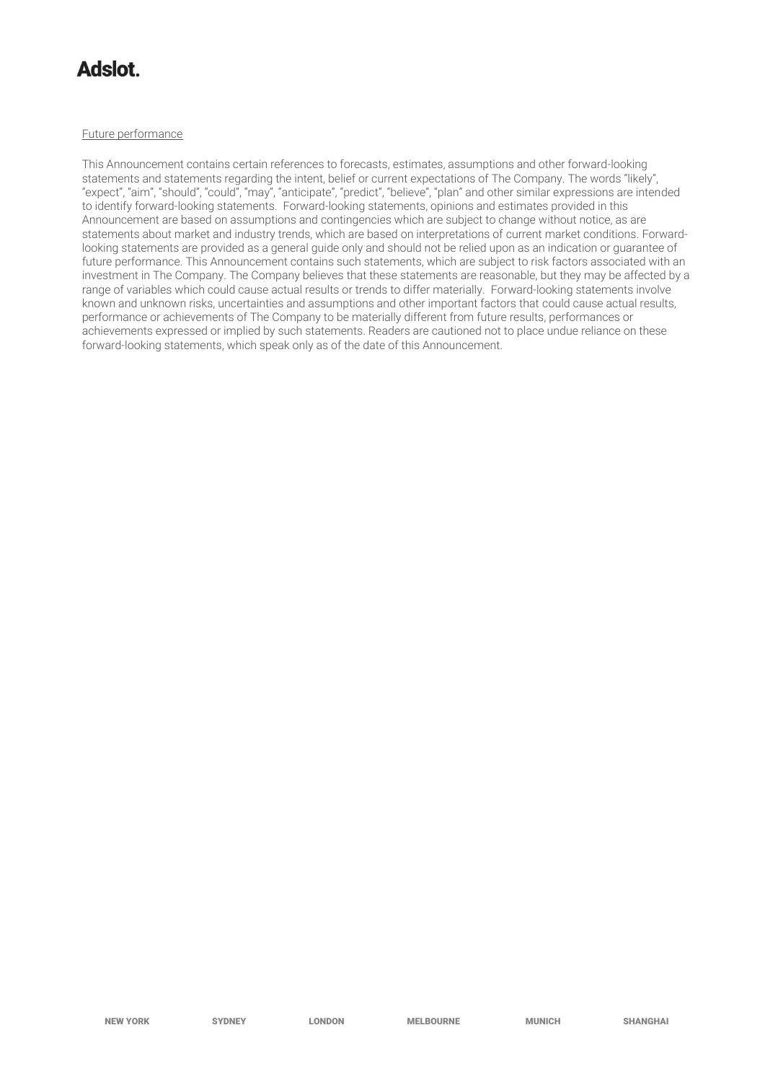# **tolahA**

#### Future performance

This Announcement contains certain references to forecasts, estimates, assumptions and other forward-looking statements and statements regarding the intent, belief or current expectations of The Company. The words "likely", "expect", "aim", "should", "could", "may", "anticipate", "predict", "believe", "plan" and other similar expressions are intended to identify forward-looking statements. Forward-looking statements, opinions and estimates provided in this Announcement are based on assumptions and contingencies which are subject to change without notice, as are statements about market and industry trends, which are based on interpretations of current market conditions. Forwardlooking statements are provided as a general guide only and should not be relied upon as an indication or guarantee of future performance. This Announcement contains such statements, which are subject to risk factors associated with an investment in The Company. The Company believes that these statements are reasonable, but they may be affected by a range of variables which could cause actual results or trends to differ materially. Forward-looking statements involve known and unknown risks, uncertainties and assumptions and other important factors that could cause actual results, performance or achievements of The Company to be materially different from future results, performances or achievements expressed or implied by such statements. Readers are cautioned not to place undue reliance on these forward-looking statements, which speak only as of the date of this Announcement.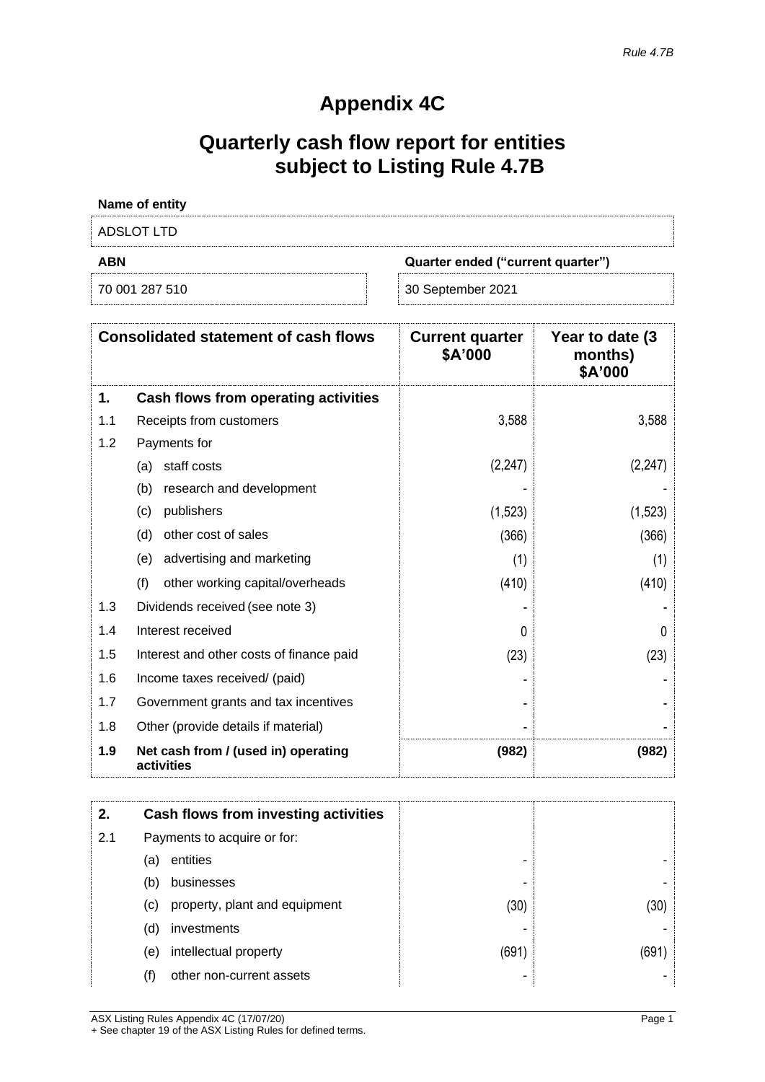# **Appendix 4C**

# **Quarterly cash flow report for entities subject to Listing Rule 4.7B**

| Name of entity |                                   |
|----------------|-----------------------------------|
| ADSLOT LTD     |                                   |
| <b>ABN</b>     | Quarter ended ("current quarter") |
| 70 001 287 510 | 30 September 2021                 |

| <b>Consolidated statement of cash flows</b> |                                                   | <b>Current quarter</b><br>\$A'000 | Year to date (3)<br>months)<br>\$A'000 |
|---------------------------------------------|---------------------------------------------------|-----------------------------------|----------------------------------------|
| 1.                                          | Cash flows from operating activities              |                                   |                                        |
| 1.1                                         | Receipts from customers                           | 3,588                             | 3,588                                  |
| 1.2                                         | Payments for                                      |                                   |                                        |
|                                             | staff costs<br>(a)                                | (2, 247)                          | (2, 247)                               |
|                                             | (b)<br>research and development                   |                                   |                                        |
|                                             | publishers<br>(c)                                 | (1,523)                           | (1,523)                                |
|                                             | other cost of sales<br>(d)                        | (366)                             | (366)                                  |
|                                             | advertising and marketing<br>(e)                  | (1)                               | (1)                                    |
|                                             | (f)<br>other working capital/overheads            | (410)                             | (410)                                  |
| 1.3                                         | Dividends received (see note 3)                   |                                   |                                        |
| 1.4                                         | Interest received                                 | O                                 |                                        |
| 1.5                                         | Interest and other costs of finance paid          | (23)                              | (23)                                   |
| 1.6                                         | Income taxes received/ (paid)                     |                                   |                                        |
| 1.7                                         | Government grants and tax incentives              |                                   |                                        |
| 1.8                                         | Other (provide details if material)               |                                   |                                        |
| 1.9                                         | Net cash from / (used in) operating<br>activities | (982)                             | (982)                                  |

| 2.  |                             | Cash flows from investing activities |       |       |
|-----|-----------------------------|--------------------------------------|-------|-------|
| 2.1 | Payments to acquire or for: |                                      |       |       |
|     | (a)                         | entities                             |       |       |
|     | (b)                         | businesses                           | -     |       |
|     | (c)                         | property, plant and equipment        | (30)  | (30)  |
|     | (d)                         | investments                          |       |       |
|     | (e)                         | intellectual property                | (691) | (691) |
|     | (f)                         | other non-current assets             |       |       |

ASX Listing Rules Appendix 4C (17/07/20) Page 1 + See chapter 19 of the ASX Listing Rules for defined terms.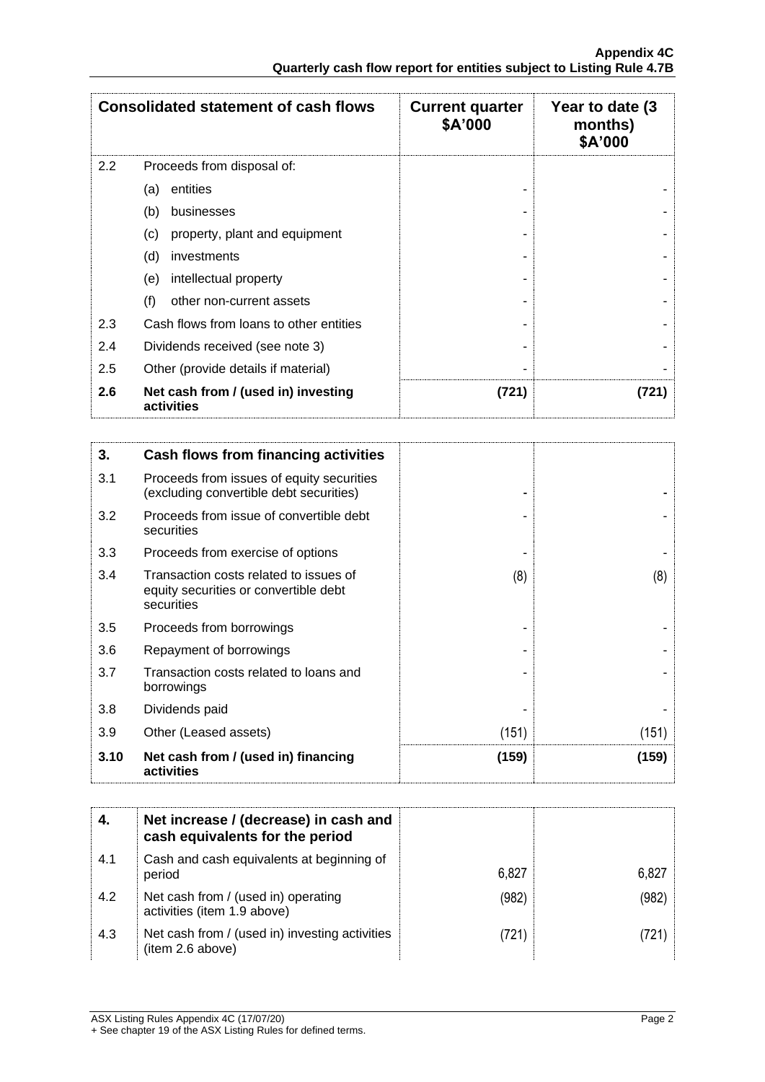| <b>Consolidated statement of cash flows</b> |                                                   | <b>Current quarter</b><br>\$A'000 | Year to date (3)<br>months)<br>\$A'000 |
|---------------------------------------------|---------------------------------------------------|-----------------------------------|----------------------------------------|
| 2.2                                         | Proceeds from disposal of:                        |                                   |                                        |
|                                             | entities<br>(a)                                   |                                   |                                        |
|                                             | businesses<br>(b)                                 |                                   |                                        |
|                                             | property, plant and equipment<br>(c)              |                                   |                                        |
|                                             | (d)<br>investments                                |                                   |                                        |
|                                             | intellectual property<br>(e)                      |                                   |                                        |
|                                             | (f)<br>other non-current assets                   |                                   |                                        |
| 2.3                                         | Cash flows from loans to other entities           |                                   |                                        |
| 2.4                                         | Dividends received (see note 3)                   |                                   |                                        |
| 2.5                                         | Other (provide details if material)               |                                   |                                        |
| 2.6                                         | Net cash from / (used in) investing<br>activities | (721)                             | (721)                                  |

| 3.   | Cash flows from financing activities                                                          |       |       |
|------|-----------------------------------------------------------------------------------------------|-------|-------|
| 3.1  | Proceeds from issues of equity securities<br>(excluding convertible debt securities)          |       |       |
| 3.2  | Proceeds from issue of convertible debt<br>securities                                         |       |       |
| 3.3  | Proceeds from exercise of options                                                             |       |       |
| 3.4  | Transaction costs related to issues of<br>equity securities or convertible debt<br>securities | (8)   | (8)   |
| 3.5  | Proceeds from borrowings                                                                      |       |       |
| 3.6  | Repayment of borrowings                                                                       |       |       |
| 3.7  | Transaction costs related to loans and<br>borrowings                                          |       |       |
| 3.8  | Dividends paid                                                                                |       |       |
| 3.9  | Other (Leased assets)                                                                         | (151) | (151) |
| 3.10 | Net cash from / (used in) financing<br>activities                                             | (159) | (159) |

|     | Net increase / (decrease) in cash and<br>cash equivalents for the period |       |       |
|-----|--------------------------------------------------------------------------|-------|-------|
| 4.1 | Cash and cash equivalents at beginning of<br>period                      | 6,827 | 6,827 |
| 4.2 | Net cash from / (used in) operating<br>activities (item 1.9 above)       | (982) | (982) |
| 4.3 | Net cash from / (used in) investing activities<br>(item 2.6 above)       | (721) | 721)  |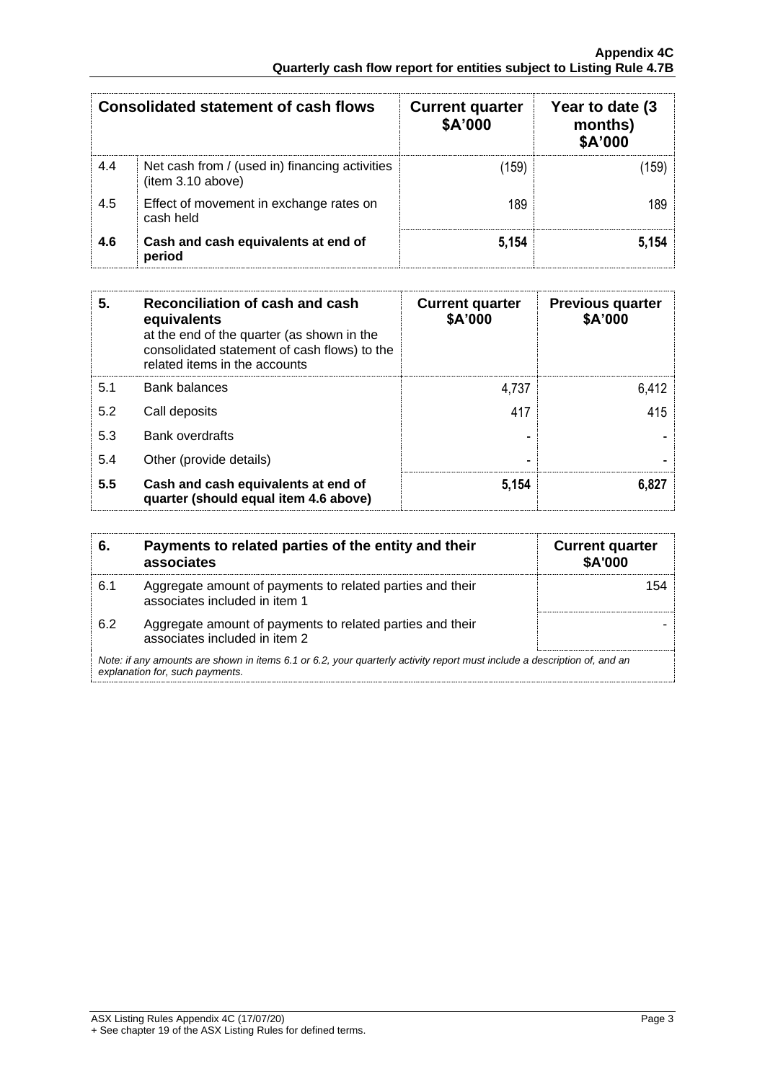| Consolidated statement of cash flows |                                                                     | <b>Current quarter</b><br>\$A'000 | Year to date (3)<br>months)<br>\$A'000 |
|--------------------------------------|---------------------------------------------------------------------|-----------------------------------|----------------------------------------|
| 4.4                                  | Net cash from / (used in) financing activities<br>(item 3.10 above) | (159)                             | 159)                                   |
| 4.5                                  | Effect of movement in exchange rates on<br>cash held                | 189                               | 189                                    |
| 4.6                                  | Cash and cash equivalents at end of<br>period                       | 5,154                             | 5.154                                  |

| 5.  | Reconciliation of cash and cash<br>equivalents<br>at the end of the quarter (as shown in the<br>consolidated statement of cash flows) to the<br>related items in the accounts | <b>Current quarter</b><br>\$A'000 | <b>Previous quarter</b><br>\$A'000 |
|-----|-------------------------------------------------------------------------------------------------------------------------------------------------------------------------------|-----------------------------------|------------------------------------|
| 5.1 | <b>Bank balances</b>                                                                                                                                                          | 4,737                             | 6,412                              |
| 5.2 | Call deposits                                                                                                                                                                 | 417                               | 415                                |
| 5.3 | <b>Bank overdrafts</b>                                                                                                                                                        |                                   |                                    |
| 5.4 | Other (provide details)                                                                                                                                                       |                                   |                                    |
| 5.5 | Cash and cash equivalents at end of<br>quarter (should equal item 4.6 above)                                                                                                  | 5,154                             | 6,827                              |

| 6.  | Payments to related parties of the entity and their<br>associates                                                                                           | <b>Current quarter</b><br><b>\$A'000</b> |  |
|-----|-------------------------------------------------------------------------------------------------------------------------------------------------------------|------------------------------------------|--|
| 6.1 | Aggregate amount of payments to related parties and their<br>associates included in item 1                                                                  | 154                                      |  |
| 6.2 | Aggregate amount of payments to related parties and their<br>associates included in item 2                                                                  |                                          |  |
|     | Note: if any amounts are shown in items 6.1 or 6.2, your quarterly activity report must include a description of, and an<br>explanation for, such payments. |                                          |  |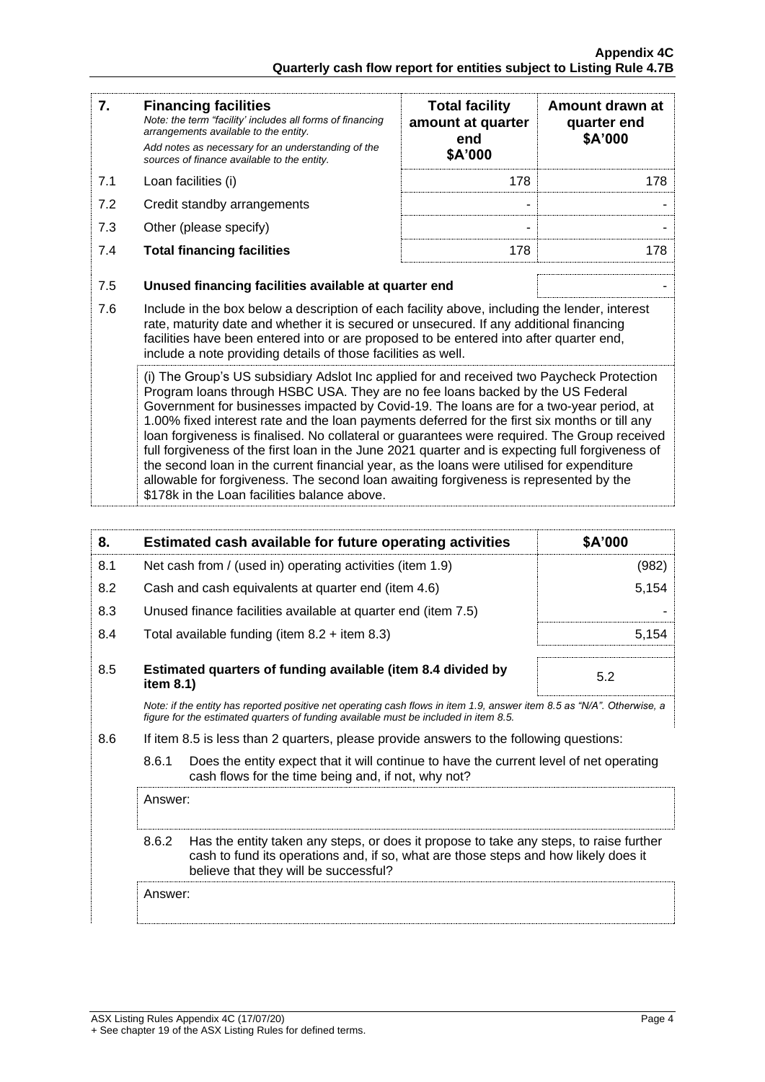| 7.                                                                                                                                                                                                                                                                                                                                                                                                                         | <b>Financing facilities</b><br>Note: the term "facility' includes all forms of financing<br>arrangements available to the entity.<br>Add notes as necessary for an understanding of the<br>sources of finance available to the entity.                                                                                                                                                                                                                                                                                                                                                                                                                                                                                                                                                                            | <b>Total facility</b><br>amount at quarter<br>end<br>\$A'000 | Amount drawn at<br>quarter end<br>\$A'000 |
|----------------------------------------------------------------------------------------------------------------------------------------------------------------------------------------------------------------------------------------------------------------------------------------------------------------------------------------------------------------------------------------------------------------------------|-------------------------------------------------------------------------------------------------------------------------------------------------------------------------------------------------------------------------------------------------------------------------------------------------------------------------------------------------------------------------------------------------------------------------------------------------------------------------------------------------------------------------------------------------------------------------------------------------------------------------------------------------------------------------------------------------------------------------------------------------------------------------------------------------------------------|--------------------------------------------------------------|-------------------------------------------|
| 7.1                                                                                                                                                                                                                                                                                                                                                                                                                        | Loan facilities (i)                                                                                                                                                                                                                                                                                                                                                                                                                                                                                                                                                                                                                                                                                                                                                                                               | 178                                                          | 178                                       |
| 7.2                                                                                                                                                                                                                                                                                                                                                                                                                        | Credit standby arrangements                                                                                                                                                                                                                                                                                                                                                                                                                                                                                                                                                                                                                                                                                                                                                                                       | ۰                                                            |                                           |
| 7.3                                                                                                                                                                                                                                                                                                                                                                                                                        | Other (please specify)                                                                                                                                                                                                                                                                                                                                                                                                                                                                                                                                                                                                                                                                                                                                                                                            | ۰                                                            |                                           |
| 7.4                                                                                                                                                                                                                                                                                                                                                                                                                        | <b>Total financing facilities</b>                                                                                                                                                                                                                                                                                                                                                                                                                                                                                                                                                                                                                                                                                                                                                                                 | 178                                                          | 178                                       |
| 7.5<br>Unused financing facilities available at quarter end<br>7.6<br>Include in the box below a description of each facility above, including the lender, interest<br>rate, maturity date and whether it is secured or unsecured. If any additional financing<br>facilities have been entered into or are proposed to be entered into after quarter end,<br>include a note providing details of those facilities as well. |                                                                                                                                                                                                                                                                                                                                                                                                                                                                                                                                                                                                                                                                                                                                                                                                                   |                                                              |                                           |
|                                                                                                                                                                                                                                                                                                                                                                                                                            | (i) The Group's US subsidiary Adslot Inc applied for and received two Paycheck Protection<br>Program loans through HSBC USA. They are no fee loans backed by the US Federal<br>Government for businesses impacted by Covid-19. The loans are for a two-year period, at<br>1.00% fixed interest rate and the loan payments deferred for the first six months or till any<br>loan forgiveness is finalised. No collateral or guarantees were required. The Group received<br>full forgiveness of the first loan in the June 2021 quarter and is expecting full forgiveness of<br>the second loan in the current financial year, as the loans were utilised for expenditure<br>allowable for forgiveness. The second loan awaiting forgiveness is represented by the<br>\$178k in the Loan facilities balance above. |                                                              |                                           |

| 8.    |                                                           | Estimated cash available for future operating activities                                                                                                                                                               | \$A'000 |
|-------|-----------------------------------------------------------|------------------------------------------------------------------------------------------------------------------------------------------------------------------------------------------------------------------------|---------|
| 8.1   | Net cash from / (used in) operating activities (item 1.9) |                                                                                                                                                                                                                        | (982)   |
| 8.2   |                                                           | Cash and cash equivalents at quarter end (item 4.6)                                                                                                                                                                    | 5,154   |
| 8.3   |                                                           | Unused finance facilities available at quarter end (item 7.5)                                                                                                                                                          |         |
| 8.4   |                                                           | Total available funding (item $8.2 +$ item $8.3$ )                                                                                                                                                                     | 5,154   |
| 8.5   | item 8.1)                                                 | Estimated quarters of funding available (item 8.4 divided by                                                                                                                                                           | 5.2     |
|       |                                                           | Note: if the entity has reported positive net operating cash flows in item 1.9, answer item 8.5 as "N/A". Otherwise, a<br>figure for the estimated quarters of funding available must be included in item 8.5.         |         |
| 8.6   |                                                           | If item 8.5 is less than 2 quarters, please provide answers to the following questions:                                                                                                                                |         |
| 8.6.1 |                                                           | Does the entity expect that it will continue to have the current level of net operating<br>cash flows for the time being and, if not, why not?                                                                         |         |
|       | Answer:                                                   |                                                                                                                                                                                                                        |         |
|       | 8.6.2                                                     | Has the entity taken any steps, or does it propose to take any steps, to raise further<br>cash to fund its operations and, if so, what are those steps and how likely does it<br>believe that they will be successful? |         |
|       | Answer:                                                   |                                                                                                                                                                                                                        |         |